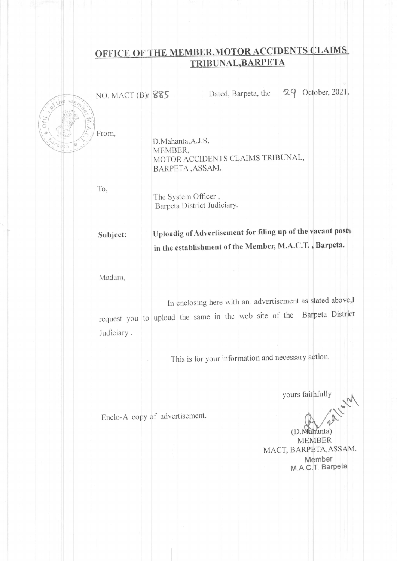# OFFICE OF THE MEMBER, MOTOR ACCIDENTS CLAIMS TRIBUNAL, BARPETA



NO. MACT (B) 885

Dated, Barpeta, the

29 October, 2021.

D.Mahanta, A.J.S, MEMBER. MOTOR ACCIDENTS CLAIMS TRIBUNAL, BARPETA, ASSAM.

To.

The System Officer, Barpeta District Judiciary.

### Uploadig of Advertisement for filing up of the vacant posts Subject: in the establishment of the Member, M.A.C.T., Barpeta.

Madam,

In enclosing here with an advertisement as stated above,I request you to upload the same in the web site of the Barpeta District Judiciary.

This is for your information and necessary action.

yours faithfully

Enclo-A copy of advertisement.

(D. Mahanta) **MEMBER** 

MACT, BARPETA, ASSAM. Member M.A.C.T. Barpeta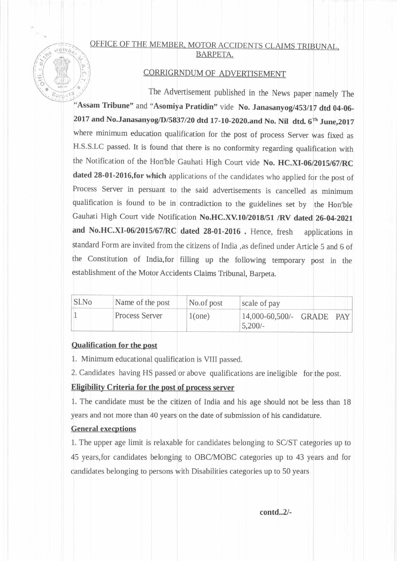# de vember OFFICE OF THE MEMBER, MOTOR ACCIDENTS CLAIMS TRIBUNAL, BARPETA.

# CORRIGRNDUM OF ADVERTISEMENT

The Advertisement published in the News paper namely The "Assam Tribune" and "Asomiya Pratidin" vide No. Janasanyog/453/17 dtd 04-06-2017 and No.Janasanyog/D/5837/20 dtd 17-10-2020.and No. Nil dtd.  $6<sup>th</sup>$  June,2017 where minimum education qualification for the post of process Server was fixed as H.S.S.LC passed. It is found that there is no conformity regarding qualification with the Notification of the Hon'ble Gauhati High Court vide No. HC.XI-06/2015/67/RC dated 28-01-2016,for which applications of the candidates who applied for the post of Process Server in persuant to the said advertisements is cancelled as minimum qualification is found to be in contradiction to the guidelines set by the Hon'ble Gauhati High Court vide Notification No.HC.XV.10/2018/51 /RV dated 26-04-2021 and No.HC.XI-06/2015/67/RC dated 28-01-2016 . Hence, fresh applications in standard Form are invited from the citizens of India ,as defined under Article S and 6 of the constitution of India,for filling up the following temporary post in the establishment of the Motor Accidents Claims Tribunal, Barpeta. pet?  $\frac{1}{2}$ 

| Sl.No | Name of the post      | No.of post | scale of pay                           |  |
|-------|-----------------------|------------|----------------------------------------|--|
|       | <b>Process Server</b> | 1(one)     | 14,000-60,500/- GRADE PAY<br>$5,200/-$ |  |

#### Oualification for the post

 $\frac{1}{2}$ ONE OF s(  $\mathbb{R}$ 

1. Minimum educational qualification is VIII passed.

2. Candidates having HS passed or above qualifications are ineiigible for the post.

## Eligibility Criteria for the post of process server

1. The candidate must be the citizen of India and his age should not be less than 18 years and not more than 40 years on the date of submission of his candidature.

# General execptions

1. The upper age limit is relaxable for candidates belonging to SC/ST categories up to 45 years,for candidates belonging to OBC/MOBC categories up to 43 years and for candidates belonging to persons with Disabilities categories up to 50 years